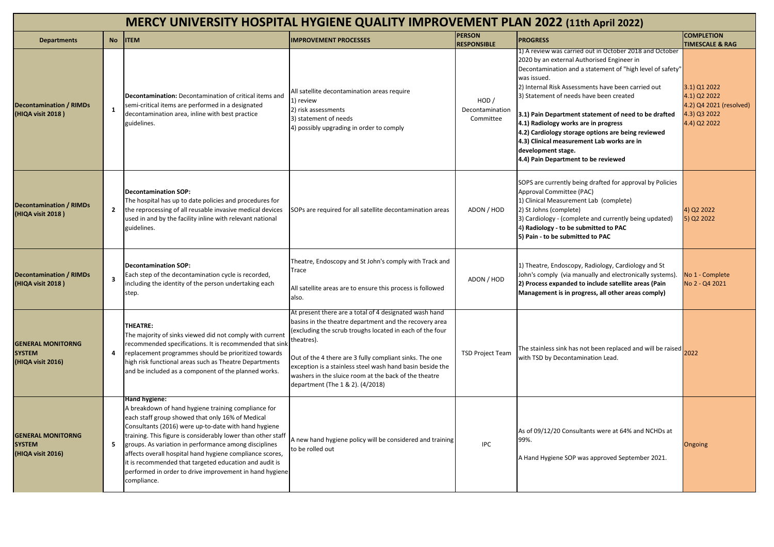| MERCY UNIVERSITY HOSPITAL HYGIENE QUALITY IMPROVEMENT PLAN 2022 (11th April 2022) |                         |                                                                                                                                                                                                                                                                                                                                                                                                                                                                                                           |                                                                                                                                                                                                                                                                                                                                                                                                                 |                                       |                                                                                                                                                                                                                                                                                                                                                                                                                                                                                                                                                     |                                                                                         |  |  |  |  |
|-----------------------------------------------------------------------------------|-------------------------|-----------------------------------------------------------------------------------------------------------------------------------------------------------------------------------------------------------------------------------------------------------------------------------------------------------------------------------------------------------------------------------------------------------------------------------------------------------------------------------------------------------|-----------------------------------------------------------------------------------------------------------------------------------------------------------------------------------------------------------------------------------------------------------------------------------------------------------------------------------------------------------------------------------------------------------------|---------------------------------------|-----------------------------------------------------------------------------------------------------------------------------------------------------------------------------------------------------------------------------------------------------------------------------------------------------------------------------------------------------------------------------------------------------------------------------------------------------------------------------------------------------------------------------------------------------|-----------------------------------------------------------------------------------------|--|--|--|--|
| <b>Departments</b>                                                                | <b>No</b>               | <b>ITEM</b>                                                                                                                                                                                                                                                                                                                                                                                                                                                                                               | <b>IMPROVEMENT PROCESSES</b>                                                                                                                                                                                                                                                                                                                                                                                    | <b>PERSON</b><br><b>RESPONSIBLE</b>   | <b>PROGRESS</b>                                                                                                                                                                                                                                                                                                                                                                                                                                                                                                                                     | <b>COMPLETION</b><br><b>TIMESCALE &amp; RAG</b>                                         |  |  |  |  |
| <b>Decontamination / RIMDs</b><br>(HIQA visit 2018)                               | $\mathbf{1}$            | Decontamination: Decontamination of critical items and<br>semi-critical items are performed in a designated<br>decontamination area, inline with best practice<br>guidelines.                                                                                                                                                                                                                                                                                                                             | All satellite decontamination areas require<br>1) review<br>2) risk assessments<br>3) statement of needs<br>4) possibly upgrading in order to comply                                                                                                                                                                                                                                                            | HOD /<br>Decontamination<br>Committee | 1) A review was carried out in October 2018 and October<br>2020 by an external Authorised Engineer in<br>Decontamination and a statement of "high level of safety"<br>was issued.<br>2) Internal Risk Assessments have been carried out<br>3) Statement of needs have been created<br>3.1) Pain Department statement of need to be drafted<br>4.1) Radiology works are in progress<br>4.2) Cardiology storage options are being reviewed<br>4.3) Clinical measurement Lab works are in<br>development stage.<br>4.4) Pain Department to be reviewed | 3.1) Q1 2022<br>4.1) Q2 2022<br>4.2) Q4 2021 (resolved)<br>4.3) Q3 2022<br>4.4) Q2 2022 |  |  |  |  |
| <b>Decontamination / RIMDs</b><br>(HIQA visit 2018)                               | $\mathbf{2}$            | <b>Decontamination SOP:</b><br>The hospital has up to date policies and procedures for<br>the reprocessing of all reusable invasive medical devices<br>used in and by the facility inline with relevant national<br>guidelines.                                                                                                                                                                                                                                                                           | SOPs are required for all satellite decontamination areas                                                                                                                                                                                                                                                                                                                                                       | ADON / HOD                            | SOPS are currently being drafted for approval by Policies<br>Approval Committee (PAC)<br>1) Clinical Measurement Lab (complete)<br>2) St Johns (complete)<br>3) Cardiology - (complete and currently being updated)<br>4) Radiology - to be submitted to PAC<br>5) Pain - to be submitted to PAC                                                                                                                                                                                                                                                    | 4) Q2 2022<br>5) Q2 2022                                                                |  |  |  |  |
| <b>Decontamination / RIMDs</b><br>(HIQA visit 2018)                               | $\overline{\mathbf{3}}$ | <b>Decontamination SOP:</b><br>Each step of the decontamination cycle is recorded,<br>including the identity of the person undertaking each<br>step.                                                                                                                                                                                                                                                                                                                                                      | Theatre, Endoscopy and St John's comply with Track and<br>Trace<br>All satellite areas are to ensure this process is followed<br>also.                                                                                                                                                                                                                                                                          | ADON / HOD                            | 1) Theatre, Endoscopy, Radiology, Cardiology and St<br>John's comply (via manually and electronically systems).<br>2) Process expanded to include satellite areas (Pain<br>Management is in progress, all other areas comply)                                                                                                                                                                                                                                                                                                                       | No 1 - Complete<br>No 2 - Q4 2021                                                       |  |  |  |  |
| <b>GENERAL MONITORNG</b><br><b>SYSTEM</b><br>(HIQA visit 2016)                    | 4                       | THEATRE:<br>The majority of sinks viewed did not comply with current<br>recommended specifications. It is recommended that sink<br>replacement programmes should be prioritized towards<br>high risk functional areas such as Theatre Departments<br>and be included as a component of the planned works.                                                                                                                                                                                                 | At present there are a total of 4 designated wash hand<br>basins in the theatre department and the recovery area<br>(excluding the scrub troughs located in each of the four<br>theatres).<br>Out of the 4 there are 3 fully compliant sinks. The one<br>exception is a stainless steel wash hand basin beside the<br>washers in the sluice room at the back of the theatre<br>department (The 1 & 2). (4/2018) | <b>TSD Project Team</b>               | The stainless sink has not been replaced and will be raised<br>with TSD by Decontamination Lead.                                                                                                                                                                                                                                                                                                                                                                                                                                                    | 2022                                                                                    |  |  |  |  |
| <b>GENERAL MONITORNG</b><br><b>SYSTEM</b><br>(HIQA visit 2016)                    | 5                       | Hand hygiene:<br>A breakdown of hand hygiene training compliance for<br>each staff group showed that only 16% of Medical<br>Consultants (2016) were up-to-date with hand hygiene<br>training. This figure is considerably lower than other staff<br>groups. As variation in performance among disciplines<br>affects overall hospital hand hygiene compliance scores,<br>it is recommended that targeted education and audit is<br>performed in order to drive improvement in hand hygiene<br>compliance. | A new hand hygiene policy will be considered and training<br>to be rolled out                                                                                                                                                                                                                                                                                                                                   | <b>IPC</b>                            | As of 09/12/20 Consultants were at 64% and NCHDs at<br>99%.<br>A Hand Hygiene SOP was approved September 2021.                                                                                                                                                                                                                                                                                                                                                                                                                                      | Ongoing                                                                                 |  |  |  |  |